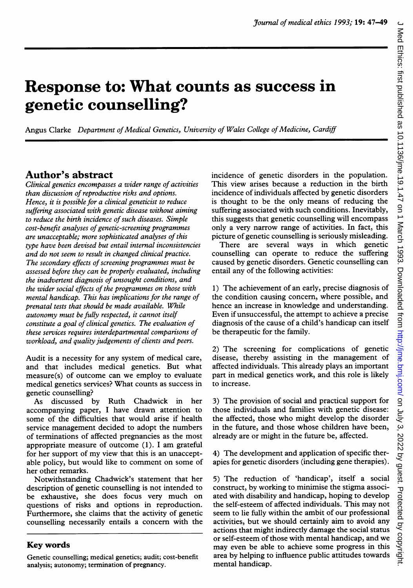## Response to: What counts as success in genetic counselling?

Angus Clarke Department of Medical Genetics, University of Wales College of Medicine, Cardiff

## Author's abstract

Clinical genetics encompasses a wider range of activities than discussion of reproductive risks and options. Hence, it is possible for a clinical geneticist to reduce suffering associated with genetic disease without aiming to reduce the birth incidence of such diseases. Simple cost-benefit analyses of genetic-screening programmes are unacceptable; more sophisticated analyses of this type have been devised but entail internal inconsistencies and do not seem to result in changed clinical practice. The secondary effects of screening programmes must be assessed before they can be properly evaluated, including the inadvertent diagnosis of unsought conditions, and the wider social effects of the programmes on those with mental handicap. This has implications for the range of prenatal tests that should be made available. While  $a$ utonomy must be fully respected, it cannot itself constitute a goal of clinical genetics. The evaluation of these services requires interdepartmental comparisons of workload, and quality judgements of clients and peers.

Audit is a necessity for any system of medical care, and that includes medical genetics. But what measure(s) of outcome can we employ to evaluate medical genetics services? What counts as success in genetic counselling?

As discussed by Ruth Chadwick in her accompanying paper, <sup>I</sup> have drawn attention to some of the difficulties that would arise if health service management decided to adopt the numbers of terminations of affected pregnancies as the most appropriate measure of outcome (1). <sup>I</sup> am grateful for her support of my view that this is an unacceptable policy, but would like to comment on some of her other remarks.

Notwithstanding Chadwick's statement that her description of genetic counselling is not intended to be exhaustive, she does focus very much on questions of risks and options in reproduction. Furthermore, she claims that the activity of genetic counselling necessarily entails a concern with the

## Key words

Genetic counselling; medical genetics; audit; cost-benefit analysis; autonomy; termination of pregnancy.

incidence of genetic disorders in the population. This view arises because a reduction in the birth incidence of individuals affected by genetic disorders is thought to be the only means of reducing the suffering associated with such conditions. Inevitably, this suggests that genetic counselling will encompass only a very narrow range of activities. In fact, this picture of genetic counselling is seriously misleading.

There are several ways in which genetic counselling can operate to reduce the suffering caused by genetic disorders. Genetic counselling can entail any of the following activities:

1) The achievement of an early, precise diagnosis of the condition causing concern, where possible, and hence an increase in knowledge and understanding. Even if unsuccessful, the attempt to achieve a precise diagnosis of the cause of a child's handicap can itself be therapeutic for the family.

2) The screening for complications of genetic disease, thereby assisting in the management of affected individuals. This already plays an important part in medical genetics work, and this role is likely to increase.

3) The provision of social and practical support for those individuals and families with genetic disease: the affected, those who might develop the disorder in the future, and those whose children have been, already are or might in the future be, affected.

4) The development and application of specific therapies for genetic disorders (including gene therapies).

5) The reduction of 'handicap', itself a social construct, by working to minimise the stigma associated with disability and handicap, hoping to develop the self-esteem of affected individuals. This may not seem to lie fully within the ambit of our professional activities, but we should certainly aim to avoid any actions that might indirectly damage the social status or self-esteem of those with mental handicap, and we may even be able to achieve some progress in this area by helping to influence public attitudes towards mental handicap.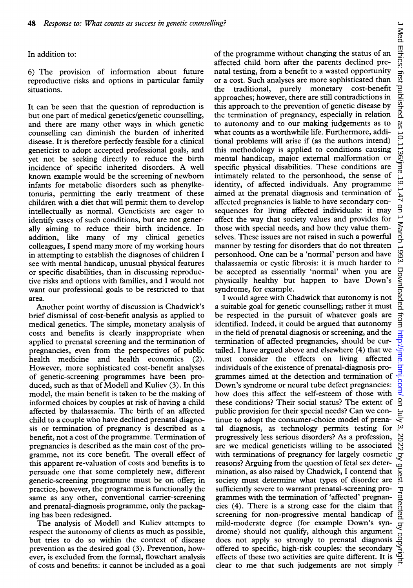In addition to:

6) The provision of information about future reproductive risks and options in particular family situations.

It can be seen that the question of reproduction is but one part of medical genetics/genetic counselling, and there are many other ways in which genetic counselling can diminish the burden of inherited disease. It is therefore perfectly feasible for a clinical geneticist to adopt accepted professional goals, and yet not be seeking directly to reduce the birth incidence of specific inherited disorders. A well known example would be the screening of newborn infants for metabolic disorders such as phenylketonuria, permitting the early treatment of these children with a diet that will permit them to develop intellectually as normal. Geneticists are eager to identify cases of such conditions, but are not generally aiming to reduce their birth incidence. In addition, like many of my clinical genetics colleagues, <sup>I</sup> spend many more of my working hours in attempting to establish the diagnoses of children <sup>I</sup> see with mental handicap, unusual physical features or specific disabilities, than in discussing reproductive risks and options with families, and <sup>I</sup> would not want our professional goals to be restricted to that area.

Another point worthy of discussion is Chadwick's brief dismissal of cost-benefit analysis as applied to medical genetics. The simple, monetary analysis of costs and benefits is clearly inappropriate when applied to prenatal screening and the termination of pregnancies, even from the perspectives of public health medicine and health economics (2). However, more sophisticated cost-benefit analyses of genetic-screening programmes have been produced, such as that of Modell and Kuliev (3). In this model, the main benefit is taken to be the making of informed choices by couples at risk of having a child affected by thalassaemia. The birth of an affected child to a couple who have declined prenatal diagnosis or termination of pregnancy is described as a benefit, not a cost of the programme. Termination of pregnancies is described as the main cost of the programme, not its core benefit. The overall effect of this apparent re-valuation of costs and benefits is to persuade one that some completely new, different genetic-screening programme must be on offer; in practice, however, the programme is functionally the same as any other, conventional carrier-screening and prenatal-diagnosis programme, only the packaging has been redesigned.

The analysis of Modell and Kuliev attempts to respect the autonomy of clients as much as possible, but tries to do so within the context of disease prevention as the desired goal (3). Prevention, however, is excluded from the formal, flowchart analysis of costs and benefits: it cannot be included as a goal of the programme without changing the status of an affected child born after the parents declined prenatal testing, from a benefit to a wasted opportunity or a cost. Such analyses are more sophisticated than<br>the traditional, purely monetary cost-benefit the traditional, purely monetary approaches; however, there are still contradictions in this approach to the prevention of genetic disease by the termination of pregnancy, especially in relation to autonomy and to our making judgements as to what counts as a worthwhile life. Furthermore, additional problems will arise if (as the authors intend) this methodology is applied to conditions causing mental handicap, major external malformation or specific physical disabilities. These conditions are intimately related to the personhood, the sense of identity, of affected individuals. Any programme aimed at the prenatal diagnosis and termination of affected pregnancies is liable to have secondary consequences for living affected individuals: it may affect the way that society values and provides for those with special needs, and how they value themselves. These issues are not raised in such a powerful manner by testing for disorders that do not threaten personhood. One can be <sup>a</sup> 'normal' person and have thalassaemia or cystic fibrosis: it is much harder to be accepted as essentially 'normal' when you are physically healthy but happen to have Down's syndrome, for example.

<sup>I</sup> would agree with Chadwick that autonomy is not a suitable goal for genetic counselling; rather it must be respected in the pursuit of whatever goals are identified. Indeed, it could be argued that autonomy in the field of prenatal diagnosis or screening, and the termination of affected pregnancies, should be curtailed. <sup>I</sup> have argued above and elsewhere (4) that we must consider the effects on living affected individuals of the existence of prenatal-diagnosis programmes aimed at the detection and termination of Down's syndrome or neural tube defect pregnancies: how does this affect the self-esteem of those with these conditions? Their social status? The extent of public provision for their special needs? Can we continue to adopt the consumer-choice model of prenatal diagnosis, as technology permits testing for progressively less serious disorders? As a profession, are we medical geneticists willing to be associated with terminations of pregnancy for largely cosmetic reasons? Arguing from the question of fetal sex determination, as also raised by Chadwick, <sup>I</sup> contend that society must determine what types of disorder are sufficiently severe to warrant prenatal-screening programmes with the termination of 'affected' pregnancies (4). There is a strong case for the claim that screening for non-progressive mental handicap of mild-moderate degree (for example Down's syndrome) should not qualify, although this argument does not apply so strongly to prenatal diagnosis offered to specific, high-risk couples: the secondary effects of these two activities are quite different. It is clear to me that such judgements are not simply